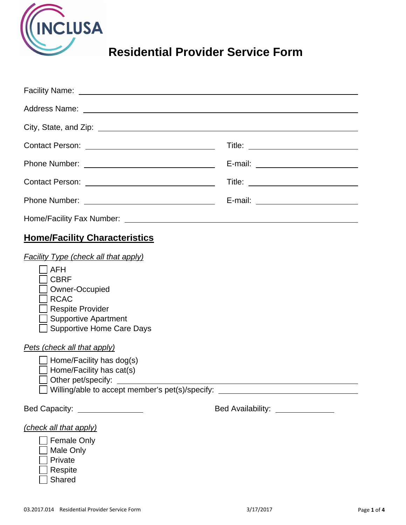

# **Residential Provider Service Form**

| Facility Name: <u>example and the set of the set of the set of the set of the set of the set of the set of the set of the set of the set of the set of the set of the set of the set of the set of the set of the set of the set</u>                                                                                                                                                               |                                                                                                                      |
|----------------------------------------------------------------------------------------------------------------------------------------------------------------------------------------------------------------------------------------------------------------------------------------------------------------------------------------------------------------------------------------------------|----------------------------------------------------------------------------------------------------------------------|
|                                                                                                                                                                                                                                                                                                                                                                                                    |                                                                                                                      |
|                                                                                                                                                                                                                                                                                                                                                                                                    |                                                                                                                      |
|                                                                                                                                                                                                                                                                                                                                                                                                    |                                                                                                                      |
|                                                                                                                                                                                                                                                                                                                                                                                                    |                                                                                                                      |
|                                                                                                                                                                                                                                                                                                                                                                                                    |                                                                                                                      |
|                                                                                                                                                                                                                                                                                                                                                                                                    | E-mail: ___________________________                                                                                  |
|                                                                                                                                                                                                                                                                                                                                                                                                    |                                                                                                                      |
| <b>Home/Facility Characteristics</b>                                                                                                                                                                                                                                                                                                                                                               |                                                                                                                      |
| <b>Facility Type (check all that apply)</b><br><b>AFH</b><br><b>CBRF</b><br>Owner-Occupied<br><b>RCAC</b><br><b>Respite Provider</b><br><b>Supportive Apartment</b><br><b>Supportive Home Care Days</b><br>Pets (check all that apply)<br>$\Box$ Home/Facility has dog(s)<br>$\Box$ Home/Facility has cat(s)<br>◯ Other pet/specify: __________<br>Willing/able to accept member's pet(s)/specify: | <u> 1980 - Jan Stein Stein Stein Stein Stein Stein Stein Stein Stein Stein Stein Stein Stein Stein Stein Stein S</u> |
| Bed Capacity: ________________                                                                                                                                                                                                                                                                                                                                                                     | Bed Availability: <u>_______________</u>                                                                             |
| (check all that apply)<br><b>Female Only</b><br><b>Male Only</b><br>Private<br>Respite                                                                                                                                                                                                                                                                                                             |                                                                                                                      |

Shared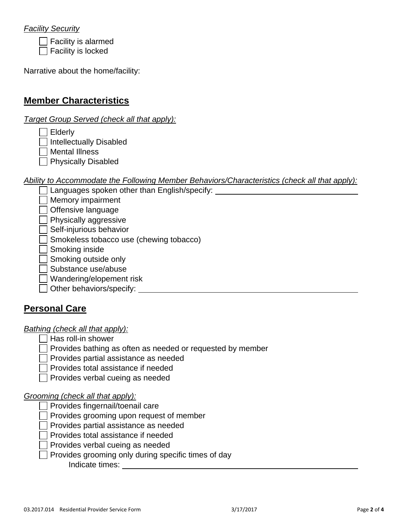## *Facility Security*

 $\Box$  Facility is alarmed

 $\Box$  Facility is locked

Narrative about the home/facility:

# **Member Characteristics**

*Target Group Served (check all that apply):* 

 $\Box$  Elderly

 $\Box$  Intellectually Disabled

Mental Illness

**Physically Disabled** 

*Ability to Accommodate the Following Member Behaviors/Characteristics (check all that apply):* 

Languages spoken other than English/specify:

**Memory impairment** 

 $\Box$  Offensive language

**Physically aggressive** 

 $\Box$  Self-injurious behavior

Smokeless tobacco use (chewing tobacco)

Smoking inside

 $\Box$  Smoking outside only

Substance use/abuse

Wandering/elopement risk

Other behaviors/specify: **contained a set of the set of the set of the set of the set of the set of the set of the set of the set of the set of the set of the set of the set of the set of the set of the set of the set of t** 

# **Personal Care**

#### *Bathing (check all that apply):*

 $\Box$  Has roll-in shower

 $\Box$  Provides bathing as often as needed or requested by member

 $\Box$  Provides partial assistance as needed

Provides total assistance if needed

 $\Box$  Provides verbal cueing as needed

## *Grooming (check all that apply):*

Provides fingernail/toenail care

 $\Box$  Provides grooming upon request of member

 $\Box$  Provides partial assistance as needed

 $\Box$  Provides total assistance if needed

Provides verbal cueing as needed

 $\Box$  Provides grooming only during specific times of day

Indicate times: **Indicate times**: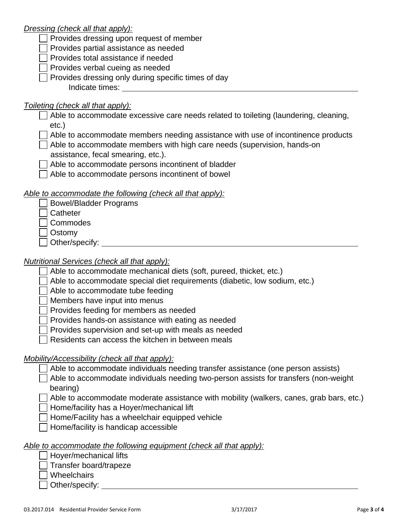## *Dressing (check all that apply):*

|  |  |  |  |  | $\Box$ Provides dressing upon request of member |
|--|--|--|--|--|-------------------------------------------------|
|--|--|--|--|--|-------------------------------------------------|

Provides partial assistance as needed

**Provides total assistance if needed** 

- $\Box$  Provides verbal cueing as needed
- $\Box$  Provides dressing only during specific times of day Indicate times: Universe and Separate support of the set of the set of the set of the set of the set of the set of the set of the set of the set of the set of the set of the set of the set of the set of the set of the set

| Toileting (check all that apply):                                                                |
|--------------------------------------------------------------------------------------------------|
| Able to accommodate excessive care needs related to toileting (laundering, cleaning,<br>$etc.$ ) |
| Able to accommodate members needing assistance with use of incontinence products                 |
|                                                                                                  |
| Able to accommodate members with high care needs (supervision, hands-on                          |
| assistance, fecal smearing, etc.).                                                               |
| Able to accommodate persons incontinent of bladder                                               |
| Able to accommodate persons incontinent of bowel                                                 |
| Able to accommodate the following (check all that apply):                                        |
| <b>Bowel/Bladder Programs</b>                                                                    |
| Catheter                                                                                         |
| Commodes                                                                                         |
| Ostomy                                                                                           |
| Other/specify: __                                                                                |
|                                                                                                  |
| Nutritional Services (check all that apply):                                                     |
| Able to accommodate mechanical diets (soft, pureed, thicket, etc.)                               |
| Able to accommodate special diet requirements (diabetic, low sodium, etc.)                       |
| Able to accommodate tube feeding                                                                 |
| Members have input into menus                                                                    |
| Provides feeding for members as needed                                                           |
| Provides hands-on assistance with eating as needed                                               |
| Provides supervision and set-up with meals as needed                                             |
|                                                                                                  |
| Residents can access the kitchen in between meals                                                |
| Mobility/Accessibility (check all that apply):                                                   |
| Able to accommodate individuals needing transfer assistance (one person assists)                 |
| Able to accommodate individuals needing two-person assists for transfers (non-weight             |
| bearing)                                                                                         |
|                                                                                                  |
| Able to accommodate moderate assistance with mobility (walkers, canes, grab bars, etc.)          |
| Home/facility has a Hoyer/mechanical lift                                                        |
| Home/Facility has a wheelchair equipped vehicle                                                  |
| Home/facility is handicap accessible                                                             |
|                                                                                                  |

## *Able to accommodate the following equipment (check all that apply):*

Hoyer/mechanical lifts

Transfer board/trapeze

Wheelchairs

Other/specify: \_\_\_